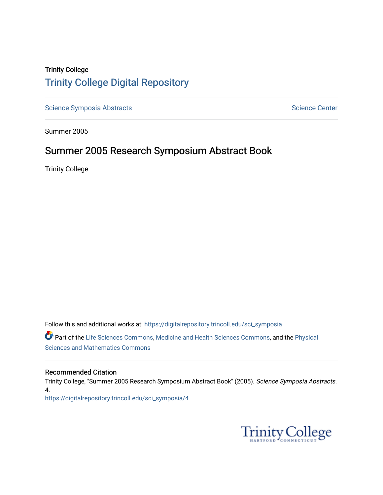#### Trinity College [Trinity College Digital Repository](https://digitalrepository.trincoll.edu/)

[Science Symposia Abstracts](https://digitalrepository.trincoll.edu/sci_symposia) **Science Center** Science Center

Summer 2005

#### Summer 2005 Research Symposium Abstract Book

Trinity College

Follow this and additional works at: [https://digitalrepository.trincoll.edu/sci\\_symposia](https://digitalrepository.trincoll.edu/sci_symposia?utm_source=digitalrepository.trincoll.edu%2Fsci_symposia%2F4&utm_medium=PDF&utm_campaign=PDFCoverPages)  Part of the [Life Sciences Commons,](http://network.bepress.com/hgg/discipline/1016?utm_source=digitalrepository.trincoll.edu%2Fsci_symposia%2F4&utm_medium=PDF&utm_campaign=PDFCoverPages) [Medicine and Health Sciences Commons,](http://network.bepress.com/hgg/discipline/648?utm_source=digitalrepository.trincoll.edu%2Fsci_symposia%2F4&utm_medium=PDF&utm_campaign=PDFCoverPages) and the [Physical](http://network.bepress.com/hgg/discipline/114?utm_source=digitalrepository.trincoll.edu%2Fsci_symposia%2F4&utm_medium=PDF&utm_campaign=PDFCoverPages)  [Sciences and Mathematics Commons](http://network.bepress.com/hgg/discipline/114?utm_source=digitalrepository.trincoll.edu%2Fsci_symposia%2F4&utm_medium=PDF&utm_campaign=PDFCoverPages) 

#### Recommended Citation

Trinity College, "Summer 2005 Research Symposium Abstract Book" (2005). Science Symposia Abstracts. 4. [https://digitalrepository.trincoll.edu/sci\\_symposia/4](https://digitalrepository.trincoll.edu/sci_symposia/4?utm_source=digitalrepository.trincoll.edu%2Fsci_symposia%2F4&utm_medium=PDF&utm_campaign=PDFCoverPages) 

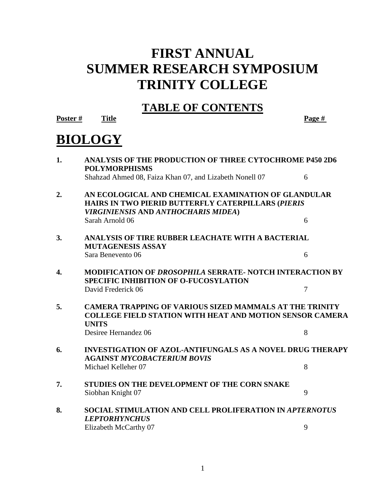# **FIRST ANNUAL SUMMER RESEARCH SYMPOSIUM TRINITY COLLEGE**

### **TABLE OF CONTENTS**

**Poster # Title Page #**

# **BIOLOGY**

| 1. | <b>ANALYSIS OF THE PRODUCTION OF THREE CYTOCHROME P450 2D6</b><br><b>POLYMORPHISMS</b>                                                                  |                |  |
|----|---------------------------------------------------------------------------------------------------------------------------------------------------------|----------------|--|
|    | Shahzad Ahmed 08, Faiza Khan 07, and Lizabeth Nonell 07                                                                                                 | 6              |  |
| 2. | AN ECOLOGICAL AND CHEMICAL EXAMINATION OF GLANDULAR<br>HAIRS IN TWO PIERID BUTTERFLY CATERPILLARS (PIERIS<br><b>VIRGINIENSIS AND ANTHOCHARIS MIDEA)</b> |                |  |
|    | Sarah Arnold 06                                                                                                                                         | 6              |  |
| 3. | ANALYSIS OF TIRE RUBBER LEACHATE WITH A BACTERIAL<br><b>MUTAGENESIS ASSAY</b>                                                                           |                |  |
|    | Sara Benevento 06                                                                                                                                       | 6              |  |
| 4. | <b>MODIFICATION OF DROSOPHILA SERRATE- NOTCH INTERACTION BY</b><br><b>SPECIFIC INHIBITION OF O-FUCOSYLATION</b>                                         |                |  |
|    | David Frederick 06                                                                                                                                      | $\overline{7}$ |  |
| 5. | <b>CAMERA TRAPPING OF VARIOUS SIZED MAMMALS AT THE TRINITY</b><br><b>COLLEGE FIELD STATION WITH HEAT AND MOTION SENSOR CAMERA</b><br><b>UNITS</b>       |                |  |
|    | Desiree Hernandez 06                                                                                                                                    | 8              |  |
| 6. | <b>INVESTIGATION OF AZOL-ANTIFUNGALS AS A NOVEL DRUG THERAPY</b><br><b>AGAINST MYCOBACTERIUM BOVIS</b>                                                  |                |  |
|    | Michael Kelleher 07                                                                                                                                     | 8              |  |
| 7. | STUDIES ON THE DEVELOPMENT OF THE CORN SNAKE                                                                                                            |                |  |
|    | Siobhan Knight 07                                                                                                                                       | 9              |  |
| 8. | <b>SOCIAL STIMULATION AND CELL PROLIFERATION IN APTERNOTUS</b><br><b>LEPTORHYNCHUS</b>                                                                  |                |  |
|    | Elizabeth McCarthy 07                                                                                                                                   | 9              |  |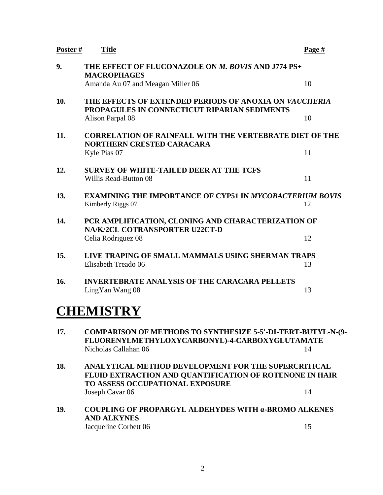| Poster# | <b>Title</b>                                                                                                                                  | Page # |  |
|---------|-----------------------------------------------------------------------------------------------------------------------------------------------|--------|--|
| 9.      | THE EFFECT OF FLUCONAZOLE ON M. BOVIS AND J774 PS+<br><b>MACROPHAGES</b>                                                                      |        |  |
|         | Amanda Au 07 and Meagan Miller 06                                                                                                             | 10     |  |
| 10.     | THE EFFECTS OF EXTENDED PERIODS OF ANOXIA ON VAUCHERIA<br>PROPAGULES IN CONNECTICUT RIPARIAN SEDIMENTS                                        |        |  |
|         | Alison Parpal 08                                                                                                                              | 10     |  |
| 11.     | <b>CORRELATION OF RAINFALL WITH THE VERTEBRATE DIET OF THE</b><br><b>NORTHERN CRESTED CARACARA</b>                                            |        |  |
|         | Kyle Pias 07                                                                                                                                  | 11     |  |
| 12.     | <b>SURVEY OF WHITE-TAILED DEER AT THE TCFS</b>                                                                                                |        |  |
|         | Willis Read-Button 08                                                                                                                         | 11     |  |
| 13.     | <b>EXAMINING THE IMPORTANCE OF CYP51 IN MYCOBACTERIUM BOVIS</b><br>Kimberly Riggs 07                                                          | 12     |  |
| 14.     | PCR AMPLIFICATION, CLONING AND CHARACTERIZATION OF<br>NA/K/2CL COTRANSPORTER U22CT-D                                                          |        |  |
|         | Celia Rodriguez 08                                                                                                                            | 12     |  |
| 15.     | LIVE TRAPING OF SMALL MAMMALS USING SHERMAN TRAPS                                                                                             |        |  |
|         | Elisabeth Treado 06                                                                                                                           | 13     |  |
| 16.     | <b>INVERTEBRATE ANALYSIS OF THE CARACARA PELLETS</b>                                                                                          |        |  |
|         | LingYan Wang 08                                                                                                                               | 13     |  |
|         | <b>CHEMISTRY</b>                                                                                                                              |        |  |
| 17.     | <b>COMPARISON OF METHODS TO SYNTHESIZE 5-5'-DI-TERT-BUTYL-N-(9-</b><br>FLUORENYLMETHYLOXYCARBONYL)-4-CARBOXYGLUTAMATE<br>Nicholas Callahan 06 | 14     |  |
| 10      | A MAI VIDIOAI - MEDIJOD DEVEL ODMENIO EOD DJIE GJIDED ODIGIOAI                                                                                |        |  |

- **18. ANALYTICAL METHOD DEVELOPMENT FOR THE SUPERCRITICAL FLUID EXTRACTION AND QUANTIFICATION OF ROTENONE IN HAIR TO ASSESS OCCUPATIONAL EXPOSURE** Joseph Cavar 06 14
- **19. COUPLING OF PROPARGYL ALDEHYDES WITH α-BROMO ALKENES AND ALKYNES** Jacqueline Corbett 06 15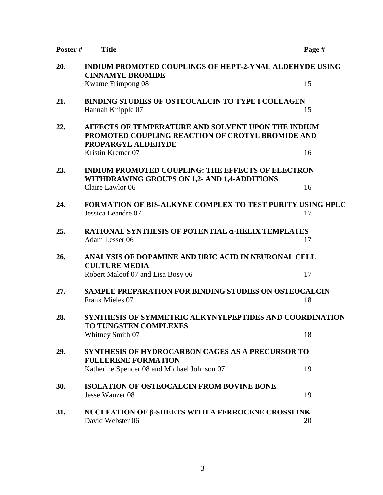| Poster# | <b>Title</b>                                                                                                                 | Page # |  |
|---------|------------------------------------------------------------------------------------------------------------------------------|--------|--|
| 20.     | <b>INDIUM PROMOTED COUPLINGS OF HEPT-2-YNAL ALDEHYDE USING</b><br><b>CINNAMYL BROMIDE</b>                                    |        |  |
|         | Kwame Frimpong 08                                                                                                            | 15     |  |
| 21.     | <b>BINDING STUDIES OF OSTEOCALCIN TO TYPE I COLLAGEN</b><br>Hannah Knipple 07                                                | 15     |  |
| 22.     | AFFECTS OF TEMPERATURE AND SOLVENT UPON THE INDIUM<br>PROMOTED COUPLING REACTION OF CROTYL BROMIDE AND<br>PROPARGYL ALDEHYDE |        |  |
|         | Kristin Kremer 07                                                                                                            | 16     |  |
| 23.     | <b>INDIUM PROMOTED COUPLING: THE EFFECTS OF ELECTRON</b><br>WITHDRAWING GROUPS ON 1,2- AND 1,4-ADDITIONS                     |        |  |
|         | Claire Lawlor 06                                                                                                             | 16     |  |
| 24.     | <b>FORMATION OF BIS-ALKYNE COMPLEX TO TEST PURITY USING HPLC</b><br>Jessica Leandre 07                                       | 17     |  |
| 25.     | RATIONAL SYNTHESIS OF POTENTIAL α-HELIX TEMPLATES<br>Adam Lesser 06                                                          | 17     |  |
| 26.     | ANALYSIS OF DOPAMINE AND URIC ACID IN NEURONAL CELL<br><b>CULTURE MEDIA</b>                                                  |        |  |
|         | Robert Maloof 07 and Lisa Bosy 06                                                                                            | 17     |  |
| 27.     | <b>SAMPLE PREPARATION FOR BINDING STUDIES ON OSTEOCALCIN</b><br>Frank Mieles 07                                              | 18     |  |
| 28.     | <b>SYNTHESIS OF SYMMETRIC ALKYNYLPEPTIDES AND COORDINATION</b><br>TO TUNGSTEN COMPLEXES                                      |        |  |
|         | Whitney Smith 07                                                                                                             | 18     |  |
| 29.     | SYNTHESIS OF HYDROCARBON CAGES AS A PRECURSOR TO<br><b>FULLERENE FORMATION</b>                                               |        |  |
|         | Katherine Spencer 08 and Michael Johnson 07                                                                                  | 19     |  |
| 30.     | <b>ISOLATION OF OSTEOCALCIN FROM BOVINE BONE</b><br>Jesse Wanzer 08                                                          | 19     |  |
| 31.     | NUCLEATION OF β-SHEETS WITH A FERROCENE CROSSLINK<br>David Webster 06                                                        | 20     |  |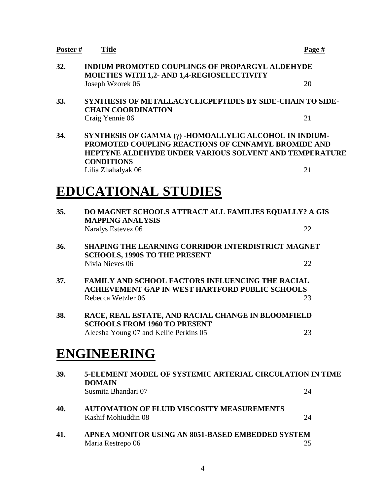| 32. | <b>INDIUM PROMOTED COUPLINGS OF PROPARGYL ALDEHYDE</b><br>MOIETIES WITH 1,2- AND 1,4-REGIOSELECTIVITY                                                                                               |    |  |
|-----|-----------------------------------------------------------------------------------------------------------------------------------------------------------------------------------------------------|----|--|
|     | Joseph Wzorek 06                                                                                                                                                                                    | 20 |  |
| 33. | <b>SYNTHESIS OF METALLACYCLICPEPTIDES BY SIDE-CHAIN TO SIDE-</b><br><b>CHAIN COORDINATION</b>                                                                                                       |    |  |
|     | Craig Yennie 06                                                                                                                                                                                     | 21 |  |
| 34. | SYNTHESIS OF GAMMA (y) -HOMOALLYLIC ALCOHOL IN INDIUM-<br>PROMOTED COUPLING REACTIONS OF CINNAMYL BROMIDE AND<br><b>HEPTYNE ALDEHYDE UNDER VARIOUS SOLVENT AND TEMPERATURE</b><br><b>CONDITIONS</b> |    |  |
|     | Lilia Zhahalyak 06                                                                                                                                                                                  | 21 |  |
|     | <b>EDUCATIONAL STUDIES</b>                                                                                                                                                                          |    |  |
| 35. | DO MAGNET SCHOOLS ATTRACT ALL FAMILIES EQUALLY? A GIS<br><b>MAPPING ANALYSIS</b>                                                                                                                    |    |  |
|     | Naralys Estevez 06                                                                                                                                                                                  | 22 |  |
| 36. | <b>SHAPING THE LEARNING CORRIDOR INTERDISTRICT MAGNET</b><br><b>SCHOOLS, 1990S TO THE PRESENT</b>                                                                                                   |    |  |
|     | Nivia Nieves 06                                                                                                                                                                                     | 22 |  |
| 37. | <b>FAMILY AND SCHOOL FACTORS INFLUENCING THE RACIAL</b><br><b>ACHIEVEMENT GAP IN WEST HARTFORD PUBLIC SCHOOLS</b>                                                                                   |    |  |
|     | Rebecca Wetzler 06                                                                                                                                                                                  | 23 |  |
| 38. | RACE, REAL ESTATE, AND RACIAL CHANGE IN BLOOMFIELD<br><b>SCHOOLS FROM 1960 TO PRESENT</b>                                                                                                           |    |  |
|     | Aleesha Young 07 and Kellie Perkins 05                                                                                                                                                              | 23 |  |
|     | <b>ENGINEERING</b>                                                                                                                                                                                  |    |  |
| 39. | <b>5-ELEMENT MODEL OF SYSTEMIC ARTERIAL CIRCULATION IN TIME</b><br><b>DOMAIN</b>                                                                                                                    |    |  |
|     | Susmita Bhandari 07                                                                                                                                                                                 | 24 |  |
| 40. | <b>AUTOMATION OF FLUID VISCOSITY MEASUREMENTS</b><br>Kashif Mohiuddin 08                                                                                                                            | 24 |  |
| 41. | APNEA MONITOR USING AN 8051-BASED EMBEDDED SYSTEM<br>Maria Restrepo 06                                                                                                                              | 25 |  |
|     |                                                                                                                                                                                                     |    |  |

4

### **Poster # Title Page #**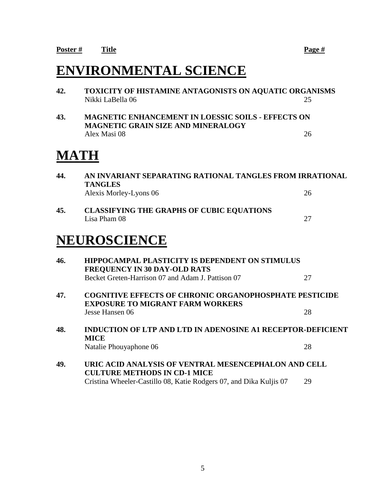### **ENVIRONMENTAL SCIENCE**

**42. TOXICITY OF HISTAMINE ANTAGONISTS ON AQUATIC ORGANISMS** Nikki LaBella 06 25 **43. MAGNETIC ENHANCEMENT IN LOESSIC SOILS - EFFECTS ON MAGNETIC GRAIN SIZE AND MINERALOGY** Alex Masi 08 26 **MATH 44. AN INVARIANT SEPARATING RATIONAL TANGLES FROM IRRATIONAL** 

|     | <b>TANGLES</b><br>Alexis Morley-Lyons 06                                                                 | 26 |  |
|-----|----------------------------------------------------------------------------------------------------------|----|--|
| 45. | <b>CLASSIFYING THE GRAPHS OF CUBIC EQUATIONS</b><br>Lisa Pham 08                                         | 27 |  |
|     | NEUROSCIENCE                                                                                             |    |  |
| 46. | <b>HIPPOCAMPAL PLASTICITY IS DEPENDENT ON STIMULUS</b><br><b>FREQUENCY IN 30 DAY-OLD RATS</b>            |    |  |
|     | Becket Greten-Harrison 07 and Adam J. Pattison 07                                                        | 27 |  |
| 47. | <b>COGNITIVE EFFECTS OF CHRONIC ORGANOPHOSPHATE PESTICIDE</b><br><b>EXPOSURE TO MIGRANT FARM WORKERS</b> |    |  |
|     | Jesse Hansen 06                                                                                          | 28 |  |
| 48. | <b>INDUCTION OF LTP AND LTD IN ADENOSINE A1 RECEPTOR-DEFICIENT</b><br><b>MICE</b>                        |    |  |
|     | Natalie Phouyaphone 06                                                                                   | 28 |  |
| 49. | URIC ACID ANALYSIS OF VENTRAL MESENCEPHALON AND CELL<br><b>CULTURE METHODS IN CD-1 MICE</b>              |    |  |
|     | Cristina Wheeler-Castillo 08, Katie Rodgers 07, and Dika Kuljis 07                                       | 29 |  |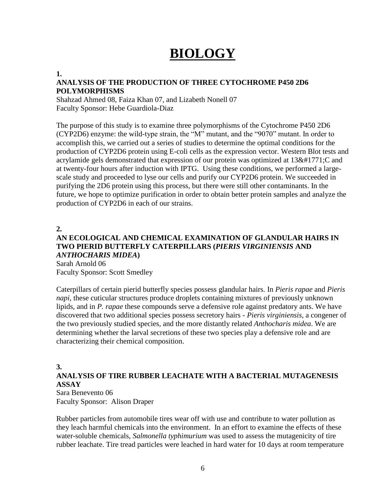# **BIOLOGY**

#### **1.**

#### **ANALYSIS OF THE PRODUCTION OF THREE CYTOCHROME P450 2D6 POLYMORPHISMS**

Shahzad Ahmed 08, Faiza Khan 07, and Lizabeth Nonell 07 Faculty Sponsor: Hebe Guardiola-Diaz

The purpose of this study is to examine three polymorphisms of the Cytochrome P450 2D6 (CYP2D6) enzyme: the wild-type strain, the "M" mutant, and the "9070" mutant. In order to accomplish this, we carried out a series of studies to determine the optimal conditions for the production of CYP2D6 protein using E-coli cells as the expression vector. Western Blot tests and acrylamide gels demonstrated that expression of our protein was optimized at  $13۫$ ; C and at twenty-four hours after induction with IPTG. Using these conditions, we performed a largescale study and proceeded to lyse our cells and purify our CYP2D6 protein. We succeeded in purifying the 2D6 protein using this process, but there were still other contaminants. In the future, we hope to optimize purification in order to obtain better protein samples and analyze the production of CYP2D6 in each of our strains.

**2.**

#### **AN ECOLOGICAL AND CHEMICAL EXAMINATION OF GLANDULAR HAIRS IN TWO PIERID BUTTERFLY CATERPILLARS (***PIERIS VIRGINIENSIS* **AND**  *ANTHOCHARIS MIDEA***)**

Sarah Arnold 06 Faculty Sponsor: Scott Smedley

Caterpillars of certain pierid butterfly species possess glandular hairs. In *Pieris rapae* and *Pieris napi*, these cuticular structures produce droplets containing mixtures of previously unknown lipids, and in *P. rapae* these compounds serve a defensive role against predatory ants. We have discovered that two additional species possess secretory hairs - *Pieris virginiensis*, a congener of the two previously studied species, and the more distantly related *Anthocharis midea*. We are determining whether the larval secretions of these two species play a defensive role and are characterizing their chemical composition.

#### **3.**

#### **ANALYSIS OF TIRE RUBBER LEACHATE WITH A BACTERIAL MUTAGENESIS ASSAY**

Sara Benevento 06 Faculty Sponsor: Alison Draper

Rubber particles from automobile tires wear off with use and contribute to water pollution as they leach harmful chemicals into the environment. In an effort to examine the effects of these water-soluble chemicals, *Salmonella typhimurium* was used to assess the mutagenicity of tire rubber leachate. Tire tread particles were leached in hard water for 10 days at room temperature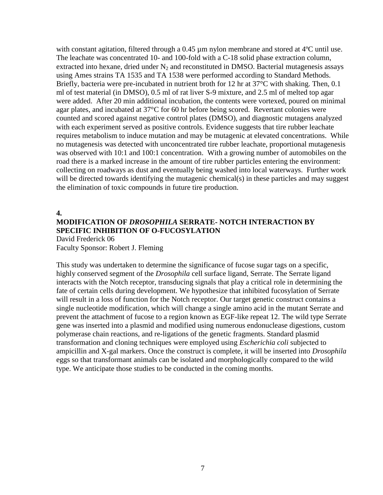with constant agitation, filtered through a 0.45 µm nylon membrane and stored at 4°C until use. The leachate was concentrated 10- and 100-fold with a C-18 solid phase extraction column, extracted into hexane, dried under  $N_2$  and reconstituted in DMSO. Bacterial mutagenesis assays using Ames strains TA 1535 and TA 1538 were performed according to Standard Methods. Briefly, bacteria were pre-incubated in nutrient broth for 12 hr at 37<sup>o</sup>C with shaking. Then, 0.1 ml of test material (in DMSO), 0.5 ml of rat liver S-9 mixture, and 2.5 ml of melted top agar were added. After 20 min additional incubation, the contents were vortexed, poured on minimal agar plates, and incubated at 37°C for 60 hr before being scored. Revertant colonies were counted and scored against negative control plates (DMSO), and diagnostic mutagens analyzed with each experiment served as positive controls. Evidence suggests that tire rubber leachate requires metabolism to induce mutation and may be mutagenic at elevated concentrations. While no mutagenesis was detected with unconcentrated tire rubber leachate, proportional mutagenesis was observed with 10:1 and 100:1 concentration. With a growing number of automobiles on the road there is a marked increase in the amount of tire rubber particles entering the environment: collecting on roadways as dust and eventually being washed into local waterways. Further work will be directed towards identifying the mutagenic chemical(s) in these particles and may suggest the elimination of toxic compounds in future tire production.

#### **4. MODIFICATION OF** *DROSOPHILA* **SERRATE- NOTCH INTERACTION BY SPECIFIC INHIBITION OF O-FUCOSYLATION** David Frederick 06

Faculty Sponsor: Robert J. Fleming

This study was undertaken to determine the significance of fucose sugar tags on a specific, highly conserved segment of the *Drosophila* cell surface ligand, Serrate. The Serrate ligand interacts with the Notch receptor, transducing signals that play a critical role in determining the fate of certain cells during development. We hypothesize that inhibited fucosylation of Serrate will result in a loss of function for the Notch receptor. Our target genetic construct contains a single nucleotide modification, which will change a single amino acid in the mutant Serrate and prevent the attachment of fucose to a region known as EGF-like repeat 12. The wild type Serrate gene was inserted into a plasmid and modified using numerous endonuclease digestions, custom polymerase chain reactions, and re-ligations of the genetic fragments. Standard plasmid transformation and cloning techniques were employed using *Escherichia coli* subjected to ampicillin and X-gal markers. Once the construct is complete, it will be inserted into *Drosophila* eggs so that transformant animals can be isolated and morphologically compared to the wild type. We anticipate those studies to be conducted in the coming months.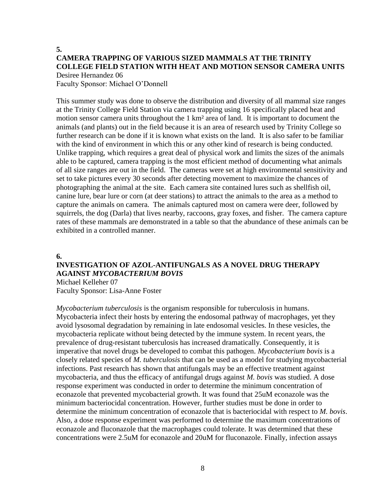#### **5. CAMERA TRAPPING OF VARIOUS SIZED MAMMALS AT THE TRINITY COLLEGE FIELD STATION WITH HEAT AND MOTION SENSOR CAMERA UNITS** Desiree Hernandez 06

Faculty Sponsor: Michael O'Donnell

This summer study was done to observe the distribution and diversity of all mammal size ranges at the Trinity College Field Station via camera trapping using 16 specifically placed heat and motion sensor camera units throughout the 1 km<sup>2</sup> area of land. It is important to document the animals (and plants) out in the field because it is an area of research used by Trinity College so further research can be done if it is known what exists on the land. It is also safer to be familiar with the kind of environment in which this or any other kind of research is being conducted. Unlike trapping, which requires a great deal of physical work and limits the sizes of the animals able to be captured, camera trapping is the most efficient method of documenting what animals of all size ranges are out in the field. The cameras were set at high environmental sensitivity and set to take pictures every 30 seconds after detecting movement to maximize the chances of photographing the animal at the site. Each camera site contained lures such as shellfish oil, canine lure, bear lure or corn (at deer stations) to attract the animals to the area as a method to capture the animals on camera. The animals captured most on camera were deer, followed by squirrels, the dog (Darla) that lives nearby, raccoons, gray foxes, and fisher. The camera capture rates of these mammals are demonstrated in a table so that the abundance of these animals can be exhibited in a controlled manner.

#### **6.**

#### **INVESTIGATION OF AZOL-ANTIFUNGALS AS A NOVEL DRUG THERAPY AGAINST** *MYCOBACTERIUM BOVIS*

Michael Kelleher 07 Faculty Sponsor: Lisa-Anne Foster

*Mycobacterium tuberculosis* is the organism responsible for tuberculosis in humans. Mycobacteria infect their hosts by entering the endosomal pathway of macrophages, yet they avoid lysosomal degradation by remaining in late endosomal vesicles. In these vesicles, the mycobacteria replicate without being detected by the immune system. In recent years, the prevalence of drug-resistant tuberculosis has increased dramatically. Consequently, it is imperative that novel drugs be developed to combat this pathogen. *Mycobacterium bovis* is a closely related species of *M. tuberculosis* that can be used as a model for studying mycobacterial infections. Past research has shown that antifungals may be an effective treatment against mycobacteria, and thus the efficacy of antifungal drugs against *M. bovis* was studied. A dose response experiment was conducted in order to determine the minimum concentration of econazole that prevented mycobacterial growth. It was found that 25uM econazole was the minimum bacteriocidal concentration. However, further studies must be done in order to determine the minimum concentration of econazole that is bacteriocidal with respect to *M. bovis*. Also, a dose response experiment was performed to determine the maximum concentrations of econazole and fluconazole that the macrophages could tolerate. It was determined that these concentrations were 2.5uM for econazole and 20uM for fluconazole. Finally, infection assays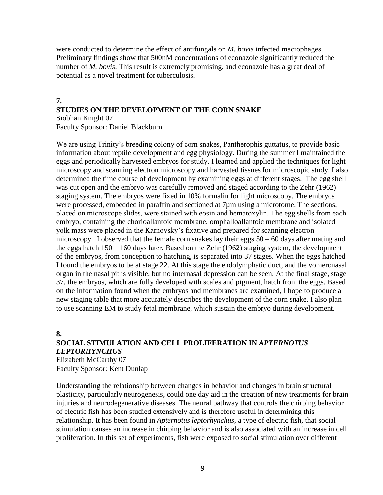were conducted to determine the effect of antifungals on *M. bovis* infected macrophages. Preliminary findings show that 500nM concentrations of econazole significantly reduced the number of *M. bovis*. This result is extremely promising, and econazole has a great deal of potential as a novel treatment for tuberculosis.

#### **7. STUDIES ON THE DEVELOPMENT OF THE CORN SNAKE** Siobhan Knight 07

Faculty Sponsor: Daniel Blackburn

We are using Trinity's breeding colony of corn snakes, Pantherophis guttatus, to provide basic information about reptile development and egg physiology. During the summer I maintained the eggs and periodically harvested embryos for study. I learned and applied the techniques for light microscopy and scanning electron microscopy and harvested tissues for microscopic study. I also determined the time course of development by examining eggs at different stages. The egg shell was cut open and the embryo was carefully removed and staged according to the Zehr (1962) staging system. The embryos were fixed in 10% formalin for light microscopy. The embryos were processed, embedded in paraffin and sectioned at 7 $\mu$ m using a microtome. The sections, placed on microscope slides, were stained with eosin and hematoxylin. The egg shells from each embryo, containing the chorioallantoic membrane, omphalloallantoic membrane and isolated yolk mass were placed in the Karnovsky's fixative and prepared for scanning electron microscopy. I observed that the female corn snakes lay their eggs  $50 - 60$  days after mating and the eggs hatch  $150 - 160$  days later. Based on the Zehr (1962) staging system, the development of the embryos, from conception to hatching, is separated into 37 stages. When the eggs hatched I found the embryos to be at stage 22. At this stage the endolymphatic duct, and the vomeronasal organ in the nasal pit is visible, but no internasal depression can be seen. At the final stage, stage 37, the embryos, which are fully developed with scales and pigment, hatch from the eggs. Based on the information found when the embryos and membranes are examined, I hope to produce a new staging table that more accurately describes the development of the corn snake. I also plan to use scanning EM to study fetal membrane, which sustain the embryo during development.

**8.**

#### **SOCIAL STIMULATION AND CELL PROLIFERATION IN** *APTERNOTUS LEPTORHYNCHUS*

Elizabeth McCarthy 07 Faculty Sponsor: Kent Dunlap

Understanding the relationship between changes in behavior and changes in brain structural plasticity, particularly neurogenesis, could one day aid in the creation of new treatments for brain injuries and neurodegenerative diseases. The neural pathway that controls the chirping behavior of electric fish has been studied extensively and is therefore useful in determining this relationship. It has been found in *Apternotus leptorhynchus*, a type of electric fish, that social stimulation causes an increase in chirping behavior and is also associated with an increase in cell proliferation. In this set of experiments, fish were exposed to social stimulation over different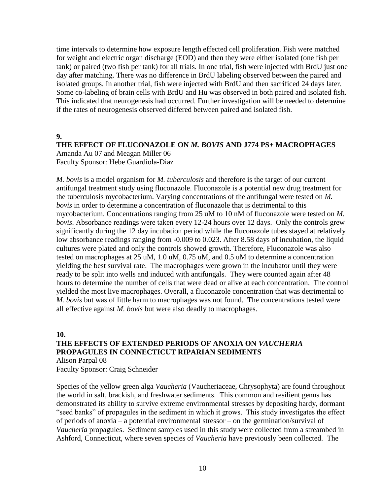time intervals to determine how exposure length effected cell proliferation. Fish were matched for weight and electric organ discharge (EOD) and then they were either isolated (one fish per tank) or paired (two fish per tank) for all trials. In one trial, fish were injected with BrdU just one day after matching. There was no difference in BrdU labeling observed between the paired and isolated groups. In another trial, fish were injected with BrdU and then sacrificed 24 days later. Some co-labeling of brain cells with BrdU and Hu was observed in both paired and isolated fish. This indicated that neurogenesis had occurred. Further investigation will be needed to determine if the rates of neurogenesis observed differed between paired and isolated fish.

**9.**

#### **THE EFFECT OF FLUCONAZOLE ON** *M. BOVIS* **AND J774 PS+ MACROPHAGES** Amanda Au 07 and Meagan Miller 06

Faculty Sponsor: Hebe Guardiola-Diaz

*M. bovis* is a model organism for *M. tuberculosis* and therefore is the target of our current antifungal treatment study using fluconazole. Fluconazole is a potential new drug treatment for the tuberculosis mycobacterium. Varying concentrations of the antifungal were tested on *M. bovis* in order to determine a concentration of fluconazole that is detrimental to this mycobacterium. Concentrations ranging from 25 uM to 10 nM of fluconazole were tested on *M. bovis*. Absorbance readings were taken every 12-24 hours over 12 days. Only the controls grew significantly during the 12 day incubation period while the fluconazole tubes stayed at relatively low absorbance readings ranging from -0.009 to 0.023. After 8.58 days of incubation, the liquid cultures were plated and only the controls showed growth. Therefore, Fluconazole was also tested on macrophages at 25 uM, 1.0 uM, 0.75 uM, and 0.5 uM to determine a concentration yielding the best survival rate. The macrophages were grown in the incubator until they were ready to be split into wells and induced with antifungals. They were counted again after 48 hours to determine the number of cells that were dead or alive at each concentration. The control yielded the most live macrophages. Overall, a fluconazole concentration that was detrimental to *M. bovis* but was of little harm to macrophages was not found. The concentrations tested were all effective against *M. bovis* but were also deadly to macrophages.

**10. THE EFFECTS OF EXTENDED PERIODS OF ANOXIA ON** *VAUCHERIA* **PROPAGULES IN CONNECTICUT RIPARIAN SEDIMENTS** Alison Parpal 08

Faculty Sponsor: Craig Schneider

Species of the yellow green alga *Vaucheria* (Vaucheriaceae, Chrysophyta) are found throughout the world in salt, brackish, and freshwater sediments. This common and resilient genus has demonstrated its ability to survive extreme environmental stresses by depositing hardy, dormant "seed banks" of propagules in the sediment in which it grows. This study investigates the effect of periods of anoxia – a potential environmental stressor – on the germination/survival of *Vaucheria* propagules. Sediment samples used in this study were collected from a streambed in Ashford, Connecticut, where seven species of *Vaucheria* have previously been collected. The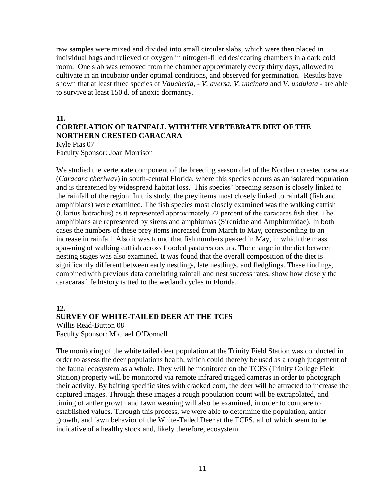raw samples were mixed and divided into small circular slabs, which were then placed in individual bags and relieved of oxygen in nitrogen-filled desiccating chambers in a dark cold room. One slab was removed from the chamber approximately every thirty days, allowed to cultivate in an incubator under optimal conditions, and observed for germination. Results have shown that at least three species of *Vaucheria,* - *V. aversa, V. uncinata* and *V. undulata -* are able to survive at least 150 d. of anoxic dormancy.

#### **11. CORRELATION OF RAINFALL WITH THE VERTEBRATE DIET OF THE NORTHERN CRESTED CARACARA**

Kyle Pias 07 Faculty Sponsor: Joan Morrison

We studied the vertebrate component of the breeding season diet of the Northern crested caracara (*Caracara cheriway*) in south-central Florida, where this species occurs as an isolated population and is threatened by widespread habitat loss. This species' breeding season is closely linked to the rainfall of the region. In this study, the prey items most closely linked to rainfall (fish and amphibians) were examined. The fish species most closely examined was the walking catfish (Clarius batrachus) as it represented approximately 72 percent of the caracaras fish diet. The amphibians are represented by sirens and amphiumas (Sirenidae and Amphiumidae). In both cases the numbers of these prey items increased from March to May, corresponding to an increase in rainfall. Also it was found that fish numbers peaked in May, in which the mass spawning of walking catfish across flooded pastures occurs. The change in the diet between nesting stages was also examined. It was found that the overall composition of the diet is significantly different between early nestlings, late nestlings, and fledglings. These findings, combined with previous data correlating rainfall and nest success rates, show how closely the caracaras life history is tied to the wetland cycles in Florida.

#### **12. SURVEY OF WHITE-TAILED DEER AT THE TCFS**

Willis Read-Button 08 Faculty Sponsor: Michael O'Donnell

The monitoring of the white tailed deer population at the Trinity Field Station was conducted in order to assess the deer populations health, which could thereby be used as a rough judgement of the faunal ecosystem as a whole. They will be monitored on the TCFS (Trinity College Field Station) property will be monitored via remote infrared trigged cameras in order to photograph their activity. By baiting specific sites with cracked corn, the deer will be attracted to increase the captured images. Through these images a rough population count will be extrapolated, and timing of antler growth and fawn weaning will also be examined, in order to compare to established values. Through this process, we were able to determine the population, antler growth, and fawn behavior of the White-Tailed Deer at the TCFS, all of which seem to be indicative of a healthy stock and, likely therefore, ecosystem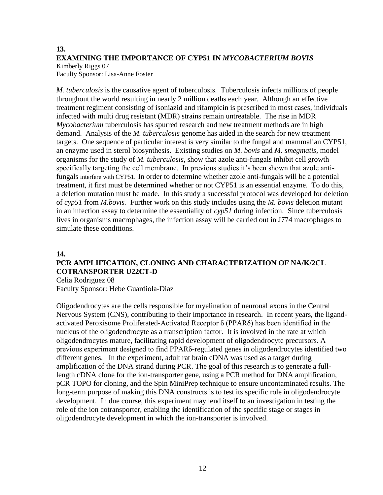#### **13. EXAMINING THE IMPORTANCE OF CYP51 IN** *MYCOBACTERIUM BOVIS* Kimberly Riggs 07

Faculty Sponsor: Lisa-Anne Foster

*M. tuberculosis* is the causative agent of tuberculosis. Tuberculosis infects millions of people throughout the world resulting in nearly 2 million deaths each year. Although an effective treatment regiment consisting of isoniazid and rifampicin is prescribed in most cases, individuals infected with multi drug resistant (MDR) strains remain untreatable. The rise in MDR *Mycobacterium* tuberculosis has spurred research and new treatment methods are in high demand. Analysis of the *M. tuberculosis* genome has aided in the search for new treatment targets. One sequence of particular interest is very similar to the fungal and mammalian CYP51, an enzyme used in sterol biosynthesis. Existing studies on *M. bovis* and *M. smegmatis*, model organisms for the study of *M. tuberculosis*, show that azole anti-fungals inhibit cell growth specifically targeting the cell membrane. In previous studies it's been shown that azole antifungals interfere with CYP51. In order to determine whether azole anti-fungals will be a potential treatment, it first must be determined whether or not CYP51 is an essential enzyme. To do this, a deletion mutation must be made. In this study a successful protocol was developed for deletion of *cyp51* from *M.bovis.* Further work on this study includes using the *M. bovis* deletion mutant in an infection assay to determine the essentiality of *cyp51* during infection. Since tuberculosis lives in organisms macrophages, the infection assay will be carried out in J774 macrophages to simulate these conditions.

#### **14.**

#### **PCR AMPLIFICATION, CLONING AND CHARACTERIZATION OF NA/K/2CL COTRANSPORTER U22CT-D**

Celia Rodriguez 08 Faculty Sponsor: Hebe Guardiola-Diaz

Oligodendrocytes are the cells responsible for myelination of neuronal axons in the Central Nervous System (CNS), contributing to their importance in research. In recent years, the ligandactivated Peroxisome Proliferated-Activated Receptor δ (PPARδ) has been identified in the nucleus of the oligodendrocyte as a transcription factor. It is involved in the rate at which oligodendrocytes mature, facilitating rapid development of oligodendrocyte precursors. A previous experiment designed to find PPARδ-regulated genes in oligodendrocytes identified two different genes. In the experiment, adult rat brain cDNA was used as a target during amplification of the DNA strand during PCR. The goal of this research is to generate a fulllength cDNA clone for the ion-transporter gene, using a PCR method for DNA amplification, pCR TOPO for cloning, and the Spin MiniPrep technique to ensure uncontaminated results. The long-term purpose of making this DNA constructs is to test its specific role in oligodendrocyte development. In due course, this experiment may lend itself to an investigation in testing the role of the ion cotransporter, enabling the identification of the specific stage or stages in oligodendrocyte development in which the ion-transporter is involved.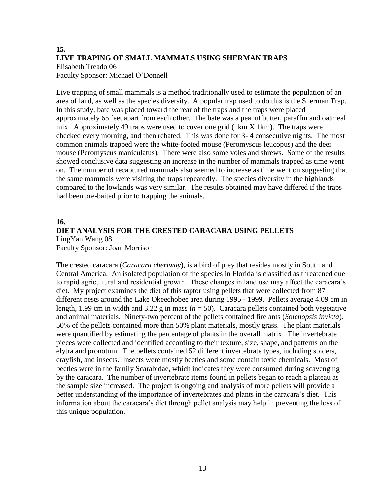#### **15. LIVE TRAPING OF SMALL MAMMALS USING SHERMAN TRAPS** Elisabeth Treado 06 Faculty Sponsor: Michael O'Donnell

Live trapping of small mammals is a method traditionally used to estimate the population of an area of land, as well as the species diversity. A popular trap used to do this is the Sherman Trap. In this study, bate was placed toward the rear of the traps and the traps were placed approximately 65 feet apart from each other. The bate was a peanut butter, paraffin and oatmeal mix. Approximately 49 traps were used to cover one grid (1km X 1km). The traps were checked every morning, and then rebated. This was done for 3- 4 consecutive nights. The most common animals trapped were the white-footed mouse (Peromyscus leucopus) and the deer mouse (Peromyscus maniculatus). There were also some voles and shrews. Some of the results showed conclusive data suggesting an increase in the number of mammals trapped as time went on. The number of recaptured mammals also seemed to increase as time went on suggesting that the same mammals were visiting the traps repeatedly. The species diversity in the highlands compared to the lowlands was very similar. The results obtained may have differed if the traps had been pre-baited prior to trapping the animals.

#### **16. DIET ANALYSIS FOR THE CRESTED CARACARA USING PELLETS** LingYan Wang 08 Faculty Sponsor: Joan Morrison

The crested caracara (*Caracara cheriway*), is a bird of prey that resides mostly in South and Central America. An isolated population of the species in Florida is classified as threatened due to rapid agricultural and residential growth. These changes in land use may affect the caracara's diet. My project examines the diet of this raptor using pellets that were collected from 87 different nests around the Lake Okeechobee area during 1995 - 1999. Pellets average 4.09 cm in length, 1.99 cm in width and 3.22 g in mass ( $n = 50$ ). Caracara pellets contained both vegetative and animal materials. Ninety-two percent of the pellets contained fire ants (*Solenopsis invicta*). 50% of the pellets contained more than 50% plant materials, mostly grass. The plant materials were quantified by estimating the percentage of plants in the overall matrix. The invertebrate pieces were collected and identified according to their texture, size, shape, and patterns on the elytra and pronotum. The pellets contained 52 different invertebrate types, including spiders, crayfish, and insects. Insects were mostly beetles and some contain toxic chemicals. Most of beetles were in the family Scarabidae, which indicates they were consumed during scavenging by the caracara. The number of invertebrate items found in pellets began to reach a plateau as the sample size increased. The project is ongoing and analysis of more pellets will provide a better understanding of the importance of invertebrates and plants in the caracara's diet. This information about the caracara's diet through pellet analysis may help in preventing the loss of this unique population.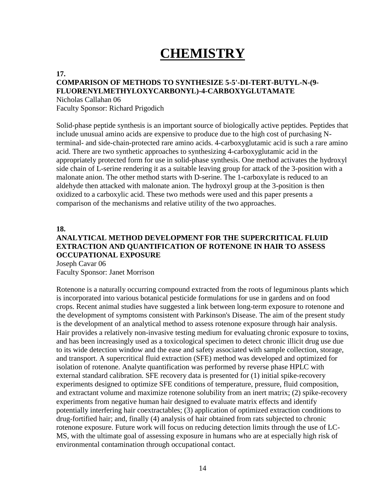# **CHEMISTRY**

#### **17.**

#### **COMPARISON OF METHODS TO SYNTHESIZE 5-5'-DI-TERT-BUTYL-N-(9- FLUORENYLMETHYLOXYCARBONYL)-4-CARBOXYGLUTAMATE**

Nicholas Callahan 06 Faculty Sponsor: Richard Prigodich

Solid-phase peptide synthesis is an important source of biologically active peptides. Peptides that include unusual amino acids are expensive to produce due to the high cost of purchasing Nterminal- and side-chain-protected rare amino acids. 4-carboxyglutamic acid is such a rare amino acid. There are two synthetic approaches to synthesizing 4-carboxyglutamic acid in the appropriately protected form for use in solid-phase synthesis. One method activates the hydroxyl side chain of L-serine rendering it as a suitable leaving group for attack of the 3-position with a malonate anion. The other method starts with D-serine. The 1-carboxylate is reduced to an aldehyde then attacked with malonate anion. The hydroxyl group at the 3-position is then oxidized to a carboxylic acid. These two methods were used and this paper presents a comparison of the mechanisms and relative utility of the two approaches.

#### **18.**

#### **ANALYTICAL METHOD DEVELOPMENT FOR THE SUPERCRITICAL FLUID EXTRACTION AND QUANTIFICATION OF ROTENONE IN HAIR TO ASSESS OCCUPATIONAL EXPOSURE**

Joseph Cavar 06 Faculty Sponsor: Janet Morrison

Rotenone is a naturally occurring compound extracted from the roots of leguminous plants which is incorporated into various botanical pesticide formulations for use in gardens and on food crops. Recent animal studies have suggested a link between long-term exposure to rotenone and the development of symptoms consistent with Parkinson's Disease. The aim of the present study is the development of an analytical method to assess rotenone exposure through hair analysis. Hair provides a relatively non-invasive testing medium for evaluating chronic exposure to toxins, and has been increasingly used as a toxicological specimen to detect chronic illicit drug use due to its wide detection window and the ease and safety associated with sample collection, storage, and transport. A supercritical fluid extraction (SFE) method was developed and optimized for isolation of rotenone. Analyte quantification was performed by reverse phase HPLC with external standard calibration. SFE recovery data is presented for (1) initial spike-recovery experiments designed to optimize SFE conditions of temperature, pressure, fluid composition, and extractant volume and maximize rotenone solubility from an inert matrix; (2) spike-recovery experiments from negative human hair designed to evaluate matrix effects and identify potentially interfering hair coextractables; (3) application of optimized extraction conditions to drug-fortified hair; and, finally (4) analysis of hair obtained from rats subjected to chronic rotenone exposure. Future work will focus on reducing detection limits through the use of LC-MS, with the ultimate goal of assessing exposure in humans who are at especially high risk of environmental contamination through occupational contact.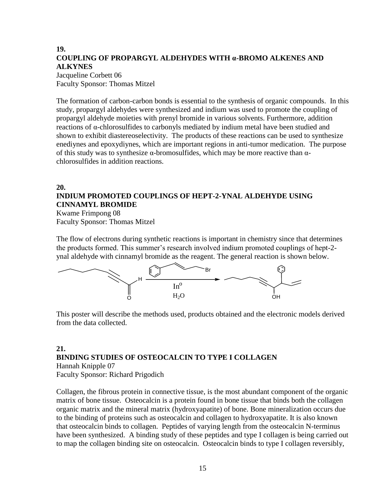#### **19. COUPLING OF PROPARGYL ALDEHYDES WITH α-BROMO ALKENES AND ALKYNES** Jacqueline Corbett 06

Faculty Sponsor: Thomas Mitzel

The formation of carbon-carbon bonds is essential to the synthesis of organic compounds. In this study, propargyl aldehydes were synthesized and indium was used to promote the coupling of propargyl aldehyde moieties with prenyl bromide in various solvents. Furthermore, addition reactions of α-chlorosulfides to carbonyls mediated by indium metal have been studied and shown to exhibit diastereoselectivity. The products of these reactions can be used to synthesize enediynes and epoxydiynes, which are important regions in anti-tumor medication. The purpose of this study was to synthesize  $\alpha$ -bromosulfides, which may be more reactive than  $\alpha$ chlorosulfides in addition reactions.

#### **20.**

#### **INDIUM PROMOTED COUPLINGS OF HEPT-2-YNAL ALDEHYDE USING CINNAMYL BROMIDE**

Kwame Frimpong 08 Faculty Sponsor: Thomas Mitzel

The flow of electrons during synthetic reactions is important in chemistry since that determines the products formed. This summer's research involved indium promoted couplings of hept-2 ynal aldehyde with cinnamyl bromide as the reagent. The general reaction is shown below.



This poster will describe the methods used, products obtained and the electronic models derived from the data collected.

#### **21. BINDING STUDIES OF OSTEOCALCIN TO TYPE I COLLAGEN** Hannah Knipple 07

Faculty Sponsor: Richard Prigodich

Collagen, the fibrous protein in connective tissue, is the most abundant component of the organic matrix of bone tissue. Osteocalcin is a protein found in bone tissue that binds both the collagen organic matrix and the mineral matrix (hydroxyapatite) of bone. Bone mineralization occurs due to the binding of proteins such as osteocalcin and collagen to hydroxyapatite. It is also known that osteocalcin binds to collagen. Peptides of varying length from the osteocalcin N-terminus have been synthesized. A binding study of these peptides and type I collagen is being carried out to map the collagen binding site on osteocalcin. Osteocalcin binds to type I collagen reversibly,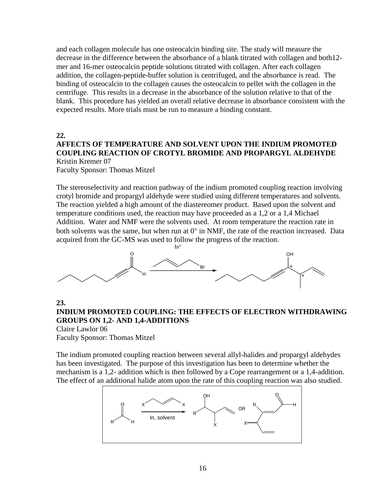and each collagen molecule has one osteocalcin binding site. The study will measure the decrease in the difference between the absorbance of a blank titrated with collagen and both12 mer and 16-mer osteocalcin peptide solutions titrated with collagen. After each collagen addition, the collagen-peptide-buffer solution is centrifuged, and the absorbance is read. The binding of osteocalcin to the collagen causes the osteocalcin to pellet with the collagen in the centrifuge. This results in a decrease in the absorbance of the solution relative to that of the blank. This procedure has yielded an overall relative decrease in absorbance consistent with the expected results. More trials must be run to measure a binding constant.

**22.**

#### **AFFECTS OF TEMPERATURE AND SOLVENT UPON THE INDIUM PROMOTED COUPLING REACTION OF CROTYL BROMIDE AND PROPARGYL ALDEHYDE**  Kristin Kremer 07

Faculty Sponsor: Thomas Mitzel

The stereoselectivity and reaction pathway of the indium promoted coupling reaction involving crotyl bromide and propargyl aldehyde were studied using different temperatures and solvents. The reaction yielded a high amount of the diastereomer product. Based upon the solvent and temperature conditions used, the reaction may have proceeded as a 1,2 or a 1,4 Michael Addition. Water and NMF were the solvents used. At room temperature the reaction rate in both solvents was the same, but when run at  $0^{\circ}$  in NMF, the rate of the reaction increased. Data acquired from the GC-MS was used to follow the progress of the reaction.



#### **23. INDIUM PROMOTED COUPLING: THE EFFECTS OF ELECTRON WITHDRAWING GROUPS ON 1,2- AND 1,4-ADDITIONS** Claire Lawlor 06

Faculty Sponsor: Thomas Mitzel

The indium promoted coupling reaction between several allyl-halides and propargyl aldehydes has been investigated. The purpose of this investigation has been to determine whether the mechanism is a 1,2- addition which is then followed by a Cope rearrangement or a 1,4-addition. The effect of an additional halide atom upon the rate of this coupling reaction was also studied.

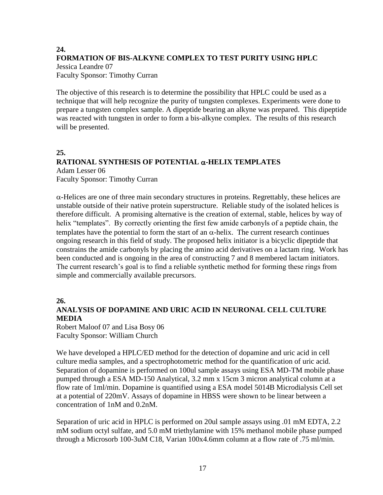#### **24. FORMATION OF BIS-ALKYNE COMPLEX TO TEST PURITY USING HPLC** Jessica Leandre 07 Faculty Sponsor: Timothy Curran

The objective of this research is to determine the possibility that HPLC could be used as a technique that will help recognize the purity of tungsten complexes. Experiments were done to prepare a tungsten complex sample. A dipeptide bearing an alkyne was prepared. This dipeptide was reacted with tungsten in order to form a bis-alkyne complex. The results of this research will be presented.

#### **25.**

#### **RATIONAL SYNTHESIS OF POTENTIAL -HELIX TEMPLATES** Adam Lesser 06 Faculty Sponsor: Timothy Curran

 $\alpha$ -Helices are one of three main secondary structures in proteins. Regrettably, these helices are unstable outside of their native protein superstructure. Reliable study of the isolated helices is therefore difficult. A promising alternative is the creation of external, stable, helices by way of helix "templates". By correctly orienting the first few amide carbonyls of a peptide chain, the templates have the potential to form the start of an  $\alpha$ -helix. The current research continues ongoing research in this field of study. The proposed helix initiator is a bicyclic dipeptide that constrains the amide carbonyls by placing the amino acid derivatives on a lactam ring. Work has been conducted and is ongoing in the area of constructing 7 and 8 membered lactam initiators. The current research's goal is to find a reliable synthetic method for forming these rings from simple and commercially available precursors.

#### **26.**

#### **ANALYSIS OF DOPAMINE AND URIC ACID IN NEURONAL CELL CULTURE MEDIA**

Robert Maloof 07 and Lisa Bosy 06 Faculty Sponsor: William Church

We have developed a HPLC/ED method for the detection of dopamine and uric acid in cell culture media samples, and a spectrophotometric method for the quantification of uric acid. Separation of dopamine is performed on 100ul sample assays using ESA MD-TM mobile phase pumped through a ESA MD-150 Analytical, 3.2 mm x 15cm 3 micron analytical column at a flow rate of 1ml/min. Dopamine is quantified using a ESA model 5014B Microdialysis Cell set at a potential of 220mV. Assays of dopamine in HBSS were shown to be linear between a concentration of 1nM and 0.2nM.

Separation of uric acid in HPLC is performed on 20ul sample assays using .01 mM EDTA, 2.2 mM sodium octyl sulfate, and 5.0 mM triethylamine with 15% methanol mobile phase pumped through a Microsorb 100-3uM C18, Varian 100x4.6mm column at a flow rate of .75 ml/min.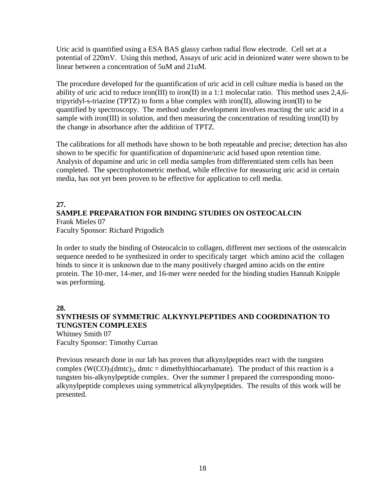Uric acid is quantified using a ESA BAS glassy carbon radial flow electrode. Cell set at a potential of 220mV. Using this method, Assays of uric acid in deionized water were shown to be linear between a concentration of 5uM and 21uM.

The procedure developed for the quantification of uric acid in cell culture media is based on the ability of uric acid to reduce iron(III) to iron(II) in a 1:1 molecular ratio. This method uses 2,4,6 tripyridyl-s-triazine (TPTZ) to form a blue complex with iron(II), allowing iron(II) to be quantified by spectroscopy. The method under development involves reacting the uric acid in a sample with iron(III) in solution, and then measuring the concentration of resulting iron(II) by the change in absorbance after the addition of TPTZ.

The calibrations for all methods have shown to be both repeatable and precise; detection has also shown to be specific for quantification of dopamine/uric acid based upon retention time. Analysis of dopamine and uric in cell media samples from differentiated stem cells has been completed. The spectrophotometric method, while effective for measuring uric acid in certain media, has not yet been proven to be effective for application to cell media.

#### **27. SAMPLE PREPARATION FOR BINDING STUDIES ON OSTEOCALCIN**

Frank Mieles 07 Faculty Sponsor: Richard Prigodich

In order to study the binding of Osteocalcin to collagen, different mer sections of the osteocalcin sequence needed to be synthesized in order to specificaly target which amino acid the collagen binds to since it is unknown due to the many positively charged amino acids on the entire protein. The 10-mer, 14-mer, and 16-mer were needed for the binding studies Hannah Knipple was performing.

**28.**

#### **SYNTHESIS OF SYMMETRIC ALKYNYLPEPTIDES AND COORDINATION TO TUNGSTEN COMPLEXES**

Whitney Smith 07 Faculty Sponsor: Timothy Curran

Previous research done in our lab has proven that alkynylpeptides react with the tungsten complex  $(W(CO)<sub>3</sub>(dmtc)<sub>2</sub>$ , dmtc = dimethylthiocarbamate). The product of this reaction is a tungsten bis-alkynylpeptide complex. Over the summer I prepared the corresponding monoalkynylpeptide complexes using symmetrical alkynylpeptides. The results of this work will be presented.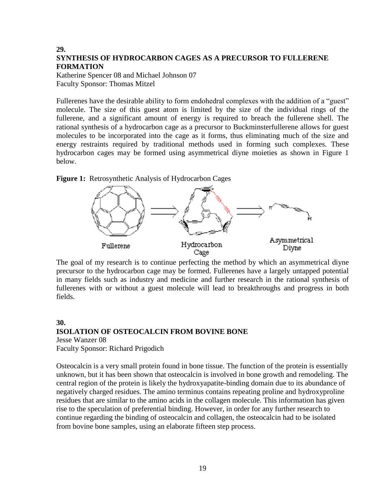#### **29. SYNTHESIS OF HYDROCARBON CAGES AS A PRECURSOR TO FULLERENE FORMATION**

Katherine Spencer 08 and Michael Johnson 07 Faculty Sponsor: Thomas Mitzel

Fullerenes have the desirable ability to form endohedral complexes with the addition of a "guest" molecule. The size of this guest atom is limited by the size of the individual rings of the fullerene, and a significant amount of energy is required to breach the fullerene shell. The rational synthesis of a hydrocarbon cage as a precursor to Buckminsterfullerene allows for guest molecules to be incorporated into the cage as it forms, thus eliminating much of the size and energy restraints required by traditional methods used in forming such complexes. These hydrocarbon cages may be formed using asymmetrical diyne moieties as shown in Figure 1 below.

#### **Figure 1:** Retrosynthetic Analysis of Hydrocarbon Cages



The goal of my research is to continue perfecting the method by which an asymmetrical diyne precursor to the hydrocarbon cage may be formed. Fullerenes have a largely untapped potential in many fields such as industry and medicine and further research in the rational synthesis of fullerenes with or without a guest molecule will lead to breakthroughs and progress in both fields.

#### **30. ISOLATION OF OSTEOCALCIN FROM BOVINE BONE**

Jesse Wanzer 08 Faculty Sponsor: Richard Prigodich

Osteocalcin is a very small protein found in bone tissue. The function of the protein is essentially unknown, but it has been shown that osteocalcin is involved in bone growth and remodeling. The central region of the protein is likely the hydroxyapatite-binding domain due to its abundance of negatively charged residues. The amino terminus contains repeating proline and hydroxyproline residues that are similar to the amino acids in the collagen molecule. This information has given rise to the speculation of preferential binding. However, in order for any further research to continue regarding the binding of osteocalcin and collagen, the osteocalcin had to be isolated from bovine bone samples, using an elaborate fifteen step process.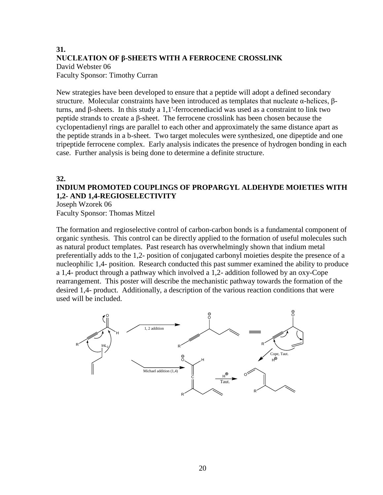#### **31. NUCLEATION OF β-SHEETS WITH A FERROCENE CROSSLINK** David Webster 06 Faculty Sponsor: Timothy Curran

New strategies have been developed to ensure that a peptide will adopt a defined secondary structure. Molecular constraints have been introduced as templates that nucleate α-helices, βturns, and β-sheets. In this study a 1,1'-ferrocenediacid was used as a constraint to link two peptide strands to create a β-sheet. The ferrocene crosslink has been chosen because the cyclopentadienyl rings are parallel to each other and approximately the same distance apart as the peptide strands in a b-sheet. Two target molecules were synthesized, one dipeptide and one tripeptide ferrocene complex. Early analysis indicates the presence of hydrogen bonding in each case. Further analysis is being done to determine a definite structure.

#### **32.**

#### **INDIUM PROMOTED COUPLINGS OF PROPARGYL ALDEHYDE MOIETIES WITH 1,2- AND 1,4-REGIOSELECTIVITY**

Joseph Wzorek 06 Faculty Sponsor: Thomas Mitzel

The formation and regioselective control of carbon-carbon bonds is a fundamental component of organic synthesis. This control can be directly applied to the formation of useful molecules such as natural product templates. Past research has overwhelmingly shown that indium metal preferentially adds to the 1,2- position of conjugated carbonyl moieties despite the presence of a nucleophilic 1,4- position. Research conducted this past summer examined the ability to produce a 1,4- product through a pathway which involved a 1,2- addition followed by an oxy-Cope rearrangement. This poster will describe the mechanistic pathway towards the formation of the desired 1,4- product. Additionally, a description of the various reaction conditions that were used will be included.

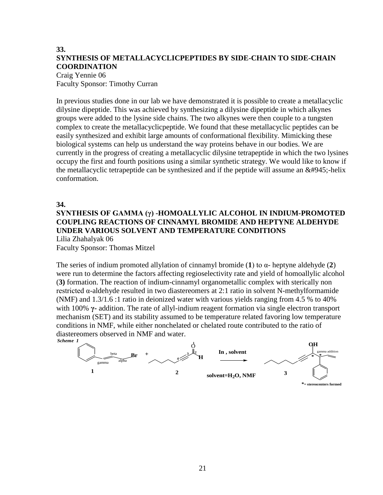#### **33. SYNTHESIS OF METALLACYCLICPEPTIDES BY SIDE-CHAIN TO SIDE-CHAIN COORDINATION**

#### Craig Yennie 06 Faculty Sponsor: Timothy Curran

In previous studies done in our lab we have demonstrated it is possible to create a metallacyclic dilysine dipeptide. This was achieved by synthesizing a dilysine dipeptide in which alkynes groups were added to the lysine side chains. The two alkynes were then couple to a tungsten complex to create the metallacyclicpeptide. We found that these metallacyclic peptides can be easily synthesized and exhibit large amounts of conformational flexibility. Mimicking these biological systems can help us understand the way proteins behave in our bodies. We are currently in the progress of creating a metallacyclic dilysine tetrapeptide in which the two lysines occupy the first and fourth positions using a similar synthetic strategy. We would like to know if the metallacyclic tetrapeptide can be synthesized and if the peptide will assume an  $\&\#945$ ;-helix conformation.

#### **34.**

#### **SYNTHESIS OF GAMMA (γ) -HOMOALLYLIC ALCOHOL IN INDIUM-PROMOTED COUPLING REACTIONS OF CINNAMYL BROMIDE AND HEPTYNE ALDEHYDE UNDER VARIOUS SOLVENT AND TEMPERATURE CONDITIONS**

Lilia Zhahalyak 06 Faculty Sponsor: Thomas Mitzel

The series of indium promoted allylation of cinnamyl bromide (**1**) to α- heptyne aldehyde (**2**) were run to determine the factors affecting regioselectivity rate and yield of homoallylic alcohol (**3)** formation. The reaction of indium-cinnamyl organometallic complex with sterically non restricted α-aldehyde resulted in two diastereomers at 2:1 ratio in solvent N-methylformamide (NMF) and 1.3/1.6 :1 ratio in deionized water with various yields ranging from 4.5 % to 40% with 100% **γ-** addition. The rate of allyl-indium reagent formation via single electron transport mechanism (SET) and its stability assumed to be temperature related favoring low temperature conditions in NMF, while either nonchelated or chelated route contributed to the ratio of diastereomers observed in NMF and water. *Scheme 1*

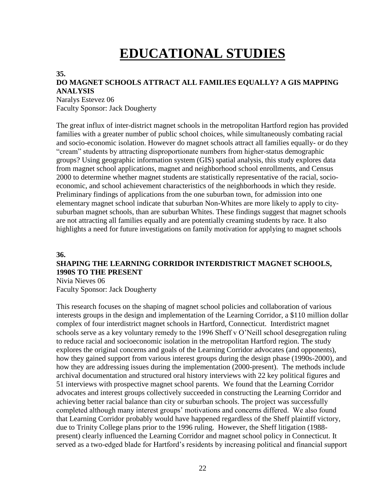# **EDUCATIONAL STUDIES**

#### **35.**

#### **DO MAGNET SCHOOLS ATTRACT ALL FAMILIES EQUALLY? A GIS MAPPING ANALYSIS**

Naralys Estevez 06 Faculty Sponsor: Jack Dougherty

The great influx of inter-district magnet schools in the metropolitan Hartford region has provided families with a greater number of public school choices, while simultaneously combating racial and socio-economic isolation. However do magnet schools attract all families equally- or do they "cream" students by attracting disproportionate numbers from higher-status demographic groups? Using geographic information system (GIS) spatial analysis, this study explores data from magnet school applications, magnet and neighborhood school enrollments, and Census 2000 to determine whether magnet students are statistically representative of the racial, socioeconomic, and school achievement characteristics of the neighborhoods in which they reside. Preliminary findings of applications from the one suburban town, for admission into one elementary magnet school indicate that suburban Non-Whites are more likely to apply to citysuburban magnet schools, than are suburban Whites. These findings suggest that magnet schools are not attracting all families equally and are potentially creaming students by race. It also highlights a need for future investigations on family motivation for applying to magnet schools

#### **36.**

#### **SHAPING THE LEARNING CORRIDOR INTERDISTRICT MAGNET SCHOOLS, 1990S TO THE PRESENT**

Nivia Nieves 06 Faculty Sponsor: Jack Dougherty

This research focuses on the shaping of magnet school policies and collaboration of various interests groups in the design and implementation of the Learning Corridor, a \$110 million dollar complex of four interdistrict magnet schools in Hartford, Connecticut. Interdistrict magnet schools serve as a key voluntary remedy to the 1996 Sheff v O'Neill school desegregation ruling to reduce racial and socioeconomic isolation in the metropolitan Hartford region. The study explores the original concerns and goals of the Learning Corridor advocates (and opponents), how they gained support from various interest groups during the design phase (1990s-2000), and how they are addressing issues during the implementation (2000-present). The methods include archival documentation and structured oral history interviews with 22 key political figures and 51 interviews with prospective magnet school parents. We found that the Learning Corridor advocates and interest groups collectively succeeded in constructing the Learning Corridor and achieving better racial balance than city or suburban schools. The project was successfully completed although many interest groups' motivations and concerns differed. We also found that Learning Corridor probably would have happened regardless of the Sheff plaintiff victory, due to Trinity College plans prior to the 1996 ruling. However, the Sheff litigation (1988 present) clearly influenced the Learning Corridor and magnet school policy in Connecticut. It served as a two-edged blade for Hartford's residents by increasing political and financial support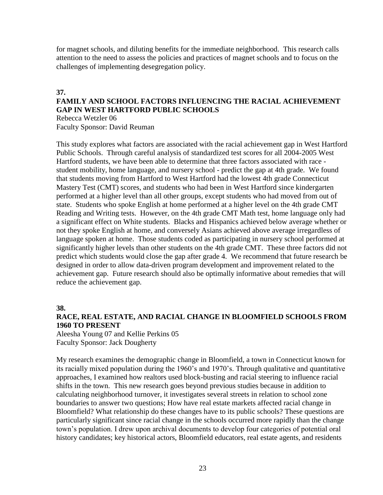for magnet schools, and diluting benefits for the immediate neighborhood. This research calls attention to the need to assess the policies and practices of magnet schools and to focus on the challenges of implementing desegregation policy.

#### **37.**

#### **FAMILY AND SCHOOL FACTORS INFLUENCING THE RACIAL ACHIEVEMENT GAP IN WEST HARTFORD PUBLIC SCHOOLS**

Rebecca Wetzler 06 Faculty Sponsor: David Reuman

This study explores what factors are associated with the racial achievement gap in West Hartford Public Schools. Through careful analysis of standardized test scores for all 2004-2005 West Hartford students, we have been able to determine that three factors associated with race student mobility, home language, and nursery school - predict the gap at 4th grade. We found that students moving from Hartford to West Hartford had the lowest 4th grade Connecticut Mastery Test (CMT) scores, and students who had been in West Hartford since kindergarten performed at a higher level than all other groups, except students who had moved from out of state. Students who spoke English at home performed at a higher level on the 4th grade CMT Reading and Writing tests. However, on the 4th grade CMT Math test, home language only had a significant effect on White students. Blacks and Hispanics achieved below average whether or not they spoke English at home, and conversely Asians achieved above average irregardless of language spoken at home. Those students coded as participating in nursery school performed at significantly higher levels than other students on the 4th grade CMT. These three factors did not predict which students would close the gap after grade 4. We recommend that future research be designed in order to allow data-driven program development and improvement related to the achievement gap. Future research should also be optimally informative about remedies that will reduce the achievement gap.

#### **38.**

#### **RACE, REAL ESTATE, AND RACIAL CHANGE IN BLOOMFIELD SCHOOLS FROM 1960 TO PRESENT**

Aleesha Young 07 and Kellie Perkins 05 Faculty Sponsor: Jack Dougherty

My research examines the demographic change in Bloomfield, a town in Connecticut known for its racially mixed population during the 1960's and 1970's. Through qualitative and quantitative approaches, I examined how realtors used block-busting and racial steering to influence racial shifts in the town. This new research goes beyond previous studies because in addition to calculating neighborhood turnover, it investigates several streets in relation to school zone boundaries to answer two questions; How have real estate markets affected racial change in Bloomfield? What relationship do these changes have to its public schools? These questions are particularly significant since racial change in the schools occurred more rapidly than the change town's population. I drew upon archival documents to develop four categories of potential oral history candidates; key historical actors, Bloomfield educators, real estate agents, and residents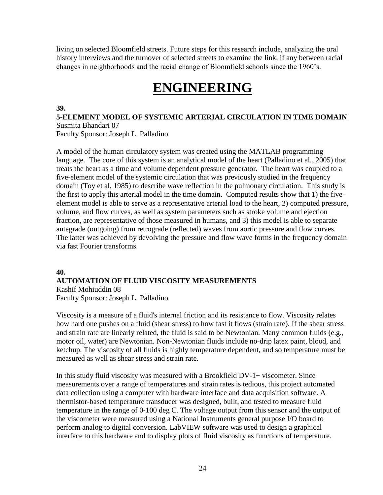living on selected Bloomfield streets. Future steps for this research include, analyzing the oral history interviews and the turnover of selected streets to examine the link, if any between racial changes in neighborhoods and the racial change of Bloomfield schools since the 1960's.

### **ENGINEERING**

#### **39.**

**5-ELEMENT MODEL OF SYSTEMIC ARTERIAL CIRCULATION IN TIME DOMAIN** Susmita Bhandari 07

Faculty Sponsor: Joseph L. Palladino

A model of the human circulatory system was created using the MATLAB programming language. The core of this system is an analytical model of the heart (Palladino et al., 2005) that treats the heart as a time and volume dependent pressure generator. The heart was coupled to a five-element model of the systemic circulation that was previously studied in the frequency domain (Toy et al, 1985) to describe wave reflection in the pulmonary circulation. This study is the first to apply this arterial model in the time domain. Computed results show that 1) the fiveelement model is able to serve as a representative arterial load to the heart, 2) computed pressure, volume, and flow curves, as well as system parameters such as stroke volume and ejection fraction, are representative of those measured in humans, and 3) this model is able to separate antegrade (outgoing) from retrograde (reflected) waves from aortic pressure and flow curves. The latter was achieved by devolving the pressure and flow wave forms in the frequency domain via fast Fourier transforms.

#### **40.**

#### **AUTOMATION OF FLUID VISCOSITY MEASUREMENTS** Kashif Mohiuddin 08

Faculty Sponsor: Joseph L. Palladino

Viscosity is a measure of a fluid's internal friction and its resistance to flow. Viscosity relates how hard one pushes on a fluid (shear stress) to how fast it flows (strain rate). If the shear stress and strain rate are linearly related, the fluid is said to be Newtonian. Many common fluids (e.g., motor oil, water) are Newtonian. Non-Newtonian fluids include no-drip latex paint, blood, and ketchup. The viscosity of all fluids is highly temperature dependent, and so temperature must be measured as well as shear stress and strain rate.

In this study fluid viscosity was measured with a Brookfield DV-1+ viscometer. Since measurements over a range of temperatures and strain rates is tedious, this project automated data collection using a computer with hardware interface and data acquisition software. A thermistor-based temperature transducer was designed, built, and tested to measure fluid temperature in the range of 0-100 deg C. The voltage output from this sensor and the output of the viscometer were measured using a National Instruments general purpose I/O board to perform analog to digital conversion. LabVIEW software was used to design a graphical interface to this hardware and to display plots of fluid viscosity as functions of temperature.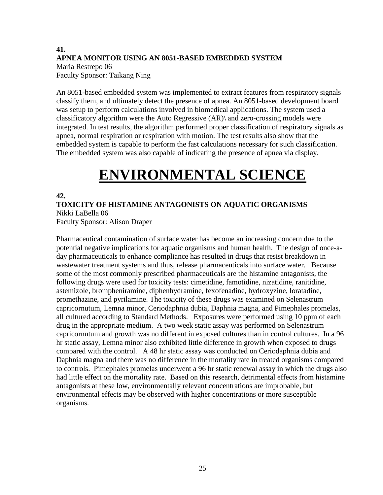#### **41. APNEA MONITOR USING AN 8051-BASED EMBEDDED SYSTEM** Maria Restrepo 06 Faculty Sponsor: Taikang Ning

An 8051-based embedded system was implemented to extract features from respiratory signals classify them, and ultimately detect the presence of apnea. An 8051-based development board was setup to perform calculations involved in biomedical applications. The system used a classificatory algorithm were the Auto Regressive (AR)\ and zero-crossing models were integrated. In test results, the algorithm performed proper classification of respiratory signals as apnea, normal respiration or respiration with motion. The test results also show that the embedded system is capable to perform the fast calculations necessary for such classification. The embedded system was also capable of indicating the presence of apnea via display.

# **ENVIRONMENTAL SCIENCE**

#### **42.**

**TOXICITY OF HISTAMINE ANTAGONISTS ON AQUATIC ORGANISMS** Nikki LaBella 06

Faculty Sponsor: Alison Draper

Pharmaceutical contamination of surface water has become an increasing concern due to the potential negative implications for aquatic organisms and human health. The design of once-aday pharmaceuticals to enhance compliance has resulted in drugs that resist breakdown in wastewater treatment systems and thus, release pharmaceuticals into surface water. Because some of the most commonly prescribed pharmaceuticals are the histamine antagonists, the following drugs were used for toxicity tests: cimetidine, famotidine, nizatidine, ranitidine, astemizole, brompheniramine, diphenhydramine, fexofenadine, hydroxyzine, loratadine, promethazine, and pyrilamine. The toxicity of these drugs was examined on Selenastrum capricornutum, Lemna minor, Ceriodaphnia dubia, Daphnia magna, and Pimephales promelas, all cultured according to Standard Methods. Exposures were performed using 10 ppm of each drug in the appropriate medium. A two week static assay was performed on Selenastrum capricornutum and growth was no different in exposed cultures than in control cultures. In a 96 hr static assay, Lemna minor also exhibited little difference in growth when exposed to drugs compared with the control. A 48 hr static assay was conducted on Ceriodaphnia dubia and Daphnia magna and there was no difference in the mortality rate in treated organisms compared to controls. Pimephales promelas underwent a 96 hr static renewal assay in which the drugs also had little effect on the mortality rate. Based on this research, detrimental effects from histamine antagonists at these low, environmentally relevant concentrations are improbable, but environmental effects may be observed with higher concentrations or more susceptible organisms.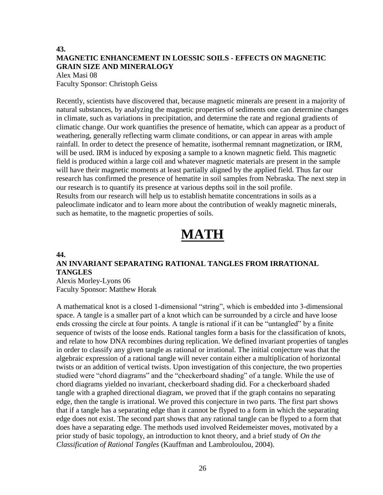#### **43. MAGNETIC ENHANCEMENT IN LOESSIC SOILS - EFFECTS ON MAGNETIC GRAIN SIZE AND MINERALOGY**

#### Alex Masi 08 Faculty Sponsor: Christoph Geiss

Recently, scientists have discovered that, because magnetic minerals are present in a majority of natural substances, by analyzing the magnetic properties of sediments one can determine changes in climate, such as variations in precipitation, and determine the rate and regional gradients of climatic change. Our work quantifies the presence of hematite, which can appear as a product of weathering, generally reflecting warm climate conditions, or can appear in areas with ample rainfall. In order to detect the presence of hematite, isothermal remnant magnetization, or IRM, will be used. IRM is induced by exposing a sample to a known magnetic field. This magnetic field is produced within a large coil and whatever magnetic materials are present in the sample will have their magnetic moments at least partially aligned by the applied field. Thus far our research has confirmed the presence of hematite in soil samples from Nebraska. The next step in our research is to quantify its presence at various depths soil in the soil profile. Results from our research will help us to establish hematite concentrations in soils as a paleoclimate indicator and to learn more about the contribution of weakly magnetic minerals, such as hematite, to the magnetic properties of soils.

# **MATH**

#### **44.**

#### **AN INVARIANT SEPARATING RATIONAL TANGLES FROM IRRATIONAL TANGLES**

Alexis Morley-Lyons 06 Faculty Sponsor: Matthew Horak

A mathematical knot is a closed 1-dimensional "string", which is embedded into 3-dimensional space. A tangle is a smaller part of a knot which can be surrounded by a circle and have loose ends crossing the circle at four points. A tangle is rational if it can be "untangled" by a finite sequence of twists of the loose ends. Rational tangles form a basis for the classification of knots, and relate to how DNA recombines during replication. We defined invariant properties of tangles in order to classify any given tangle as rational or irrational. The initial conjecture was that the algebraic expression of a rational tangle will never contain either a multiplication of horizontal twists or an addition of vertical twists. Upon investigation of this conjecture, the two properties studied were "chord diagrams" and the "checkerboard shading" of a tangle. While the use of chord diagrams yielded no invariant, checkerboard shading did. For a checkerboard shaded tangle with a graphed directional diagram, we proved that if the graph contains no separating edge, then the tangle is irrational. We proved this conjecture in two parts. The first part shows that if a tangle has a separating edge than it cannot be flyped to a form in which the separating edge does not exist. The second part shows that any rational tangle can be flyped to a form that does have a separating edge. The methods used involved Reidemeister moves, motivated by a prior study of basic topology, an introduction to knot theory, and a brief study of *On the Classification of Rational Tangles* (Kauffman and Lambroloulou, 2004).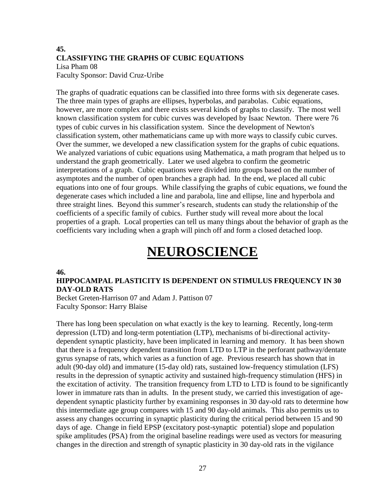#### **45. CLASSIFYING THE GRAPHS OF CUBIC EQUATIONS** Lisa Pham 08 Faculty Sponsor: David Cruz-Uribe

The graphs of quadratic equations can be classified into three forms with six degenerate cases. The three main types of graphs are ellipses, hyperbolas, and parabolas. Cubic equations, however, are more complex and there exists several kinds of graphs to classify. The most well known classification system for cubic curves was developed by Isaac Newton. There were 76 types of cubic curves in his classification system. Since the development of Newton's classification system, other mathematicians came up with more ways to classify cubic curves. Over the summer, we developed a new classification system for the graphs of cubic equations. We analyzed variations of cubic equations using Mathematica, a math program that helped us to understand the graph geometrically. Later we used algebra to confirm the geometric interpretations of a graph. Cubic equations were divided into groups based on the number of asymptotes and the number of open branches a graph had. In the end, we placed all cubic equations into one of four groups. While classifying the graphs of cubic equations, we found the degenerate cases which included a line and parabola, line and ellipse, line and hyperbola and three straight lines. Beyond this summer's research, students can study the relationship of the coefficients of a specific family of cubics. Further study will reveal more about the local properties of a graph. Local properties can tell us many things about the behavior of graph as the coefficients vary including when a graph will pinch off and form a closed detached loop.

### **NEUROSCIENCE**

#### **46.**

#### **HIPPOCAMPAL PLASTICITY IS DEPENDENT ON STIMULUS FREQUENCY IN 30 DAY-OLD RATS**

Becket Greten-Harrison 07 and Adam J. Pattison 07 Faculty Sponsor: Harry Blaise

There has long been speculation on what exactly is the key to learning. Recently, long-term depression (LTD) and long-term potentiation (LTP), mechanisms of bi-directional activitydependent synaptic plasticity, have been implicated in learning and memory. It has been shown that there is a frequency dependent transition from LTD to LTP in the perforant pathway/dentate gyrus synapse of rats, which varies as a function of age. Previous research has shown that in adult (90-day old) and immature (15-day old) rats, sustained low-frequency stimulation (LFS) results in the depression of synaptic activity and sustained high-frequency stimulation (HFS) in the excitation of activity. The transition frequency from LTD to LTD is found to be significantly lower in immature rats than in adults. In the present study, we carried this investigation of agedependent synaptic plasticity further by examining responses in 30 day-old rats to determine how this intermediate age group compares with 15 and 90 day-old animals. This also permits us to assess any changes occurring in synaptic plasticity during the critical period between 15 and 90 days of age. Change in field EPSP (excitatory post-synaptic potential) slope and population spike amplitudes (PSA) from the original baseline readings were used as vectors for measuring changes in the direction and strength of synaptic plasticity in 30 day-old rats in the vigilance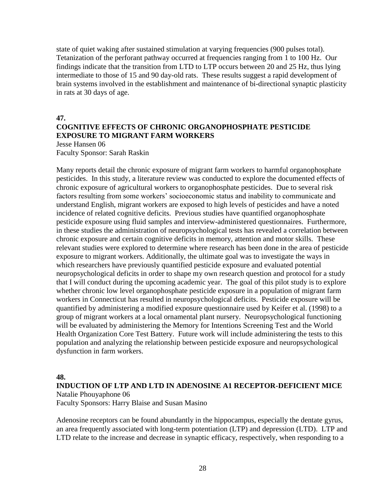state of quiet waking after sustained stimulation at varying frequencies (900 pulses total). Tetanization of the perforant pathway occurred at frequencies ranging from 1 to 100 Hz. Our findings indicate that the transition from LTD to LTP occurs between 20 and 25 Hz, thus lying intermediate to those of 15 and 90 day-old rats. These results suggest a rapid development of brain systems involved in the establishment and maintenance of bi-directional synaptic plasticity in rats at 30 days of age.

#### **47. COGNITIVE EFFECTS OF CHRONIC ORGANOPHOSPHATE PESTICIDE EXPOSURE TO MIGRANT FARM WORKERS**

Jesse Hansen 06 Faculty Sponsor: Sarah Raskin

Many reports detail the chronic exposure of migrant farm workers to harmful organophosphate pesticides. In this study, a literature review was conducted to explore the documented effects of chronic exposure of agricultural workers to organophosphate pesticides. Due to several risk factors resulting from some workers' socioeconomic status and inability to communicate and understand English, migrant workers are exposed to high levels of pesticides and have a noted incidence of related cognitive deficits. Previous studies have quantified organophosphate pesticide exposure using fluid samples and interview-administered questionnaires. Furthermore, in these studies the administration of neuropsychological tests has revealed a correlation between chronic exposure and certain cognitive deficits in memory, attention and motor skills. These relevant studies were explored to determine where research has been done in the area of pesticide exposure to migrant workers. Additionally, the ultimate goal was to investigate the ways in which researchers have previously quantified pesticide exposure and evaluated potential neuropsychological deficits in order to shape my own research question and protocol for a study that I will conduct during the upcoming academic year. The goal of this pilot study is to explore whether chronic low level organophosphate pesticide exposure in a population of migrant farm workers in Connecticut has resulted in neuropsychological deficits. Pesticide exposure will be quantified by administering a modified exposure questionnaire used by Keifer et al. (1998) to a group of migrant workers at a local ornamental plant nursery. Neuropsychological functioning will be evaluated by administering the Memory for Intentions Screening Test and the World Health Organization Core Test Battery. Future work will include administering the tests to this population and analyzing the relationship between pesticide exposure and neuropsychological dysfunction in farm workers.

#### **48.**

#### **INDUCTION OF LTP AND LTD IN ADENOSINE A1 RECEPTOR-DEFICIENT MICE**

Natalie Phouyaphone 06

Faculty Sponsors: Harry Blaise and Susan Masino

Adenosine receptors can be found abundantly in the hippocampus, especially the dentate gyrus, an area frequently associated with long-term potentiation (LTP) and depression (LTD). LTP and LTD relate to the increase and decrease in synaptic efficacy, respectively, when responding to a